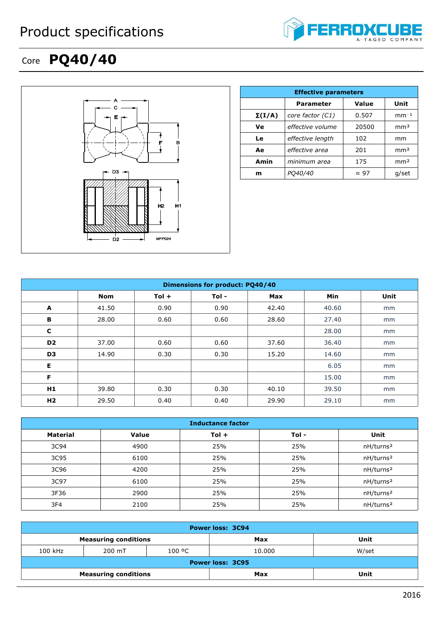

## Core **PQ40/40**



|               | <b>Effective parameters</b>       |              |                 |  |  |  |
|---------------|-----------------------------------|--------------|-----------------|--|--|--|
|               | Value<br>Unit<br><b>Parameter</b> |              |                 |  |  |  |
| $\Sigma(I/A)$ | core factor (C1)                  | 0.507        | $mm-1$          |  |  |  |
| Ve            | effective volume                  | 20500        | mm <sup>3</sup> |  |  |  |
| Le            | effective length                  | 102          | mm              |  |  |  |
| Ae            | effective area                    | 201          | mm <sup>2</sup> |  |  |  |
| Amin          | minimum area                      | 175          | mm <sup>2</sup> |  |  |  |
| m             | <i>PO40/40</i>                    | $\approx$ 97 | g/set           |  |  |  |

| Dimensions for product: PQ40/40 |            |         |         |       |       |      |
|---------------------------------|------------|---------|---------|-------|-------|------|
|                                 | <b>Nom</b> | $Tol +$ | $Tol -$ | Max   | Min   | Unit |
| A                               | 41.50      | 0.90    | 0.90    | 42.40 | 40.60 | mm   |
| В                               | 28.00      | 0.60    | 0.60    | 28.60 | 27.40 | mm   |
| C                               |            |         |         |       | 28.00 | mm   |
| D <sub>2</sub>                  | 37.00      | 0.60    | 0.60    | 37.60 | 36.40 | mm   |
| D <sub>3</sub>                  | 14.90      | 0.30    | 0.30    | 15.20 | 14.60 | mm   |
| Е                               |            |         |         |       | 6.05  | mm   |
| F                               |            |         |         |       | 15.00 | mm   |
| H1                              | 39.80      | 0.30    | 0.30    | 40.10 | 39.50 | mm   |
| H <sub>2</sub>                  | 29.50      | 0.40    | 0.40    | 29.90 | 29.10 | mm   |

| <b>Inductance factor</b> |              |         |      |                       |  |
|--------------------------|--------------|---------|------|-----------------------|--|
| <b>Material</b>          | <b>Value</b> | $Tol +$ | Tol- | Unit                  |  |
| 3C94                     | 4900         | 25%     | 25%  | nH/turns <sup>2</sup> |  |
| 3C95                     | 6100         | 25%     | 25%  | nH/turns <sup>2</sup> |  |
| 3C96                     | 4200         | 25%     | 25%  | nH/turns <sup>2</sup> |  |
| 3C97                     | 6100         | 25%     | 25%  | nH/turns <sup>2</sup> |  |
| 3F36                     | 2900         | 25%     | 25%  | nH/turns <sup>2</sup> |  |
| 3F4                      | 2100         | 25%     | 25%  | nH/turns <sup>2</sup> |  |

| <b>Power loss: 3C94</b>     |        |        |        |       |
|-----------------------------|--------|--------|--------|-------|
| <b>Measuring conditions</b> |        |        | Max    | Unit  |
| 100 kHz                     | 200 mT | 100 °C | 10.000 | W/set |
| <b>Power loss: 3C95</b>     |        |        |        |       |
| <b>Measuring conditions</b> |        |        | Max    | Unit  |